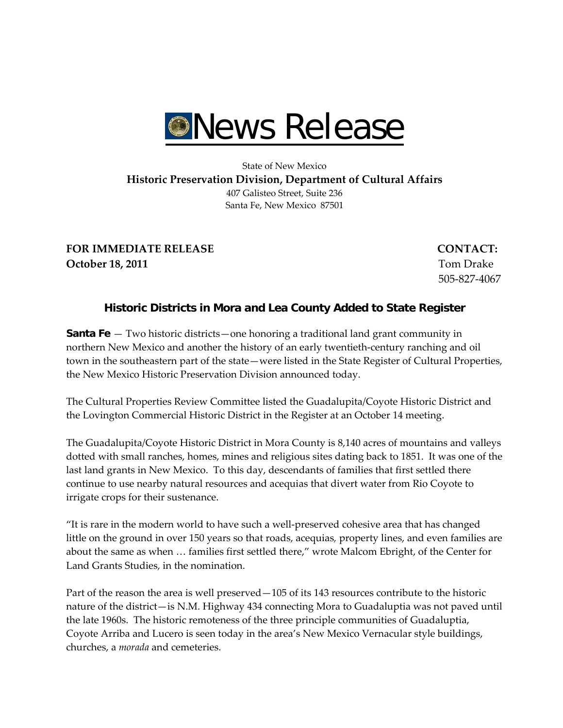

## State of New Mexico **Historic Preservation Division, Department of Cultural Affairs** 407 Galisteo Street, Suite 236 Santa Fe, New Mexico 87501

**FOR IMMEDIATE RELEASE CONTACT: October 18, 2011** Tom Drake

505‐827‐4067

## **Historic Districts in Mora and Lea County Added to State Register**

**Santa Fe** — Two historic districts—one honoring a traditional land grant community in northern New Mexico and another the history of an early twentieth‐century ranching and oil town in the southeastern part of the state—were listed in the State Register of Cultural Properties, the New Mexico Historic Preservation Division announced today.

The Cultural Properties Review Committee listed the Guadalupita/Coyote Historic District and the Lovington Commercial Historic District in the Register at an October 14 meeting.

The Guadalupita/Coyote Historic District in Mora County is 8,140 acres of mountains and valleys dotted with small ranches, homes, mines and religious sites dating back to 1851. It was one of the last land grants in New Mexico. To this day, descendants of families that first settled there continue to use nearby natural resources and acequias that divert water from Rio Coyote to irrigate crops for their sustenance.

"It is rare in the modern world to have such a well‐preserved cohesive area that has changed little on the ground in over 150 years so that roads, acequias*,* property lines, and even families are about the same as when … families first settled there," wrote Malcom Ebright, of the Center for Land Grants Studies, in the nomination.

Part of the reason the area is well preserved—105 of its 143 resources contribute to the historic nature of the district—is N.M. Highway 434 connecting Mora to Guadaluptia was not paved until the late 1960s. The historic remoteness of the three principle communities of Guadaluptia, Coyote Arriba and Lucero is seen today in the area's New Mexico Vernacular style buildings, churches, a *morada* and cemeteries.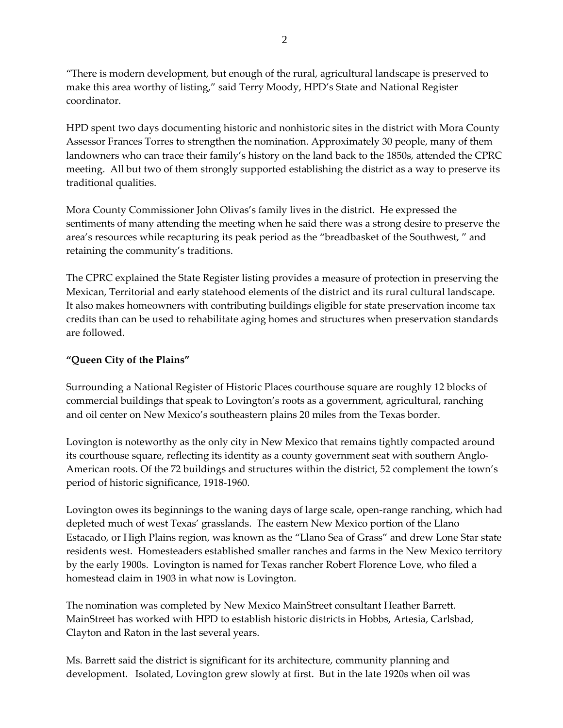"There is modern development, but enough of the rural, agricultural landscape is preserved to make this area worthy of listing," said Terry Moody, HPD's State and National Register coordinator.

HPD spent two days documenting historic and nonhistoric sites in the district with Mora County Assessor Frances Torres to strengthen the nomination. Approximately 30 people, many of them landowners who can trace their family's history on the land back to the 1850s, attended the CPRC meeting. All but two of them strongly supported establishing the district as a way to preserve its traditional qualities.

Mora County Commissioner John Olivas's family lives in the district. He expressed the sentiments of many attending the meeting when he said there was a strong desire to preserve the area's resources while recapturing its peak period as the "breadbasket of the Southwest, " and retaining the community's traditions.

The CPRC explained the State Register listing provides a measure of protection in preserving the Mexican, Territorial and early statehood elements of the district and its rural cultural landscape. It also makes homeowners with contributing buildings eligible for state preservation income tax credits than can be used to rehabilitate aging homes and structures when preservation standards are followed.

## **"Queen City of the Plains"**

Surrounding a National Register of Historic Places courthouse square are roughly 12 blocks of commercial buildings that speak to Lovington's roots as a government, agricultural, ranching and oil center on New Mexico's southeastern plains 20 miles from the Texas border.

Lovington is noteworthy as the only city in New Mexico that remains tightly compacted around its courthouse square, reflecting its identity as a county government seat with southern Anglo-American roots. Of the 72 buildings and structures within the district, 52 complement the town's period of historic significance, 1918‐1960.

Lovington owes its beginnings to the waning days of large scale, open-range ranching, which had depleted much of west Texas' grasslands. The eastern New Mexico portion of the Llano Estacado, or High Plains region, was known as the "Llano Sea of Grass" and drew Lone Star state residents west. Homesteaders established smaller ranches and farms in the New Mexico territory by the early 1900s. Lovington is named for Texas rancher Robert Florence Love, who filed a homestead claim in 1903 in what now is Lovington.

The nomination was completed by New Mexico MainStreet consultant Heather Barrett. MainStreet has worked with HPD to establish historic districts in Hobbs, Artesia, Carlsbad, Clayton and Raton in the last several years.

Ms. Barrett said the district is significant for its architecture, community planning and development. Isolated, Lovington grew slowly at first. But in the late 1920s when oil was